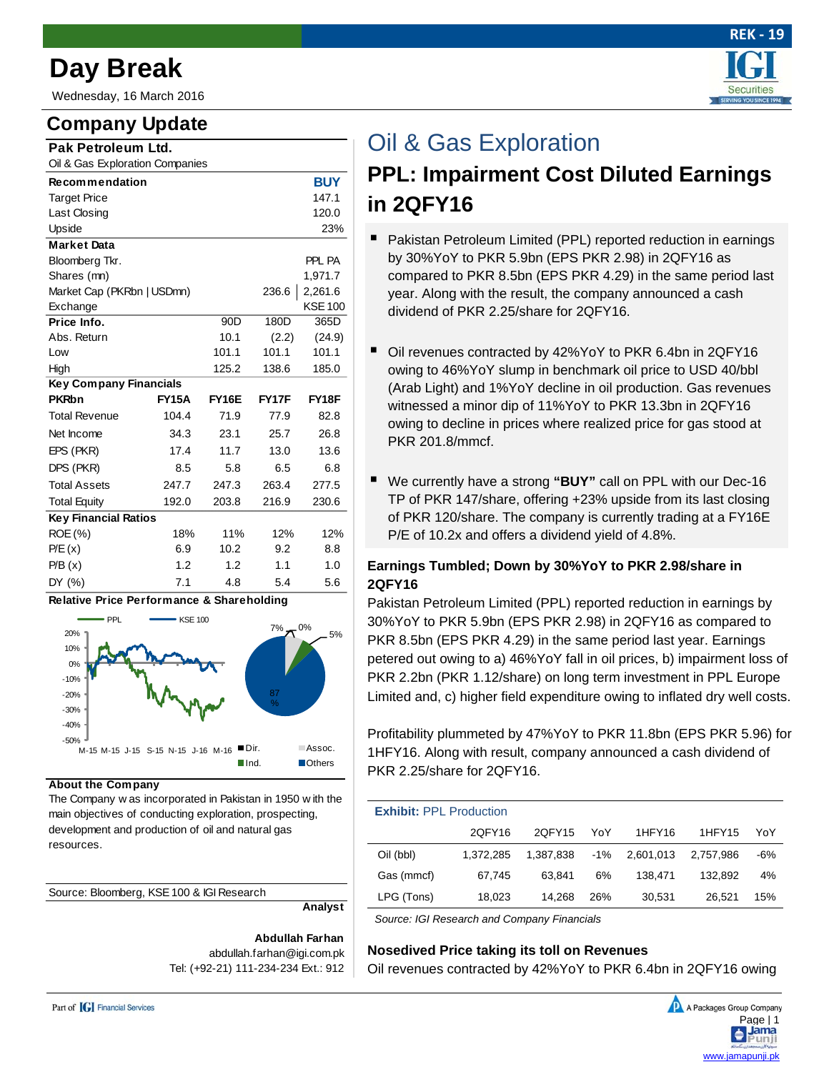# **Day Break**

Wednesday, 16 March 2016

# **Company Update**

| Pak Petroleum Ltd.              |              |                 |       |                |
|---------------------------------|--------------|-----------------|-------|----------------|
| Oil & Gas Exploration Companies |              |                 |       |                |
| <b>Recommendation</b>           |              |                 |       | <b>BUY</b>     |
| <b>Target Price</b>             |              |                 |       | 147.1          |
| Last Closing                    |              |                 |       | 120.0          |
| Upside                          |              |                 |       | 23%            |
| <b>Market Data</b>              |              |                 |       |                |
| Bloomberg Tkr.                  |              |                 |       | PPL PA         |
| Shares (mn)                     |              |                 |       | 1.971.7        |
| Market Cap (PKRbn   USDmn)      |              |                 | 236.6 | 2,261.6        |
| Exchange                        |              |                 |       | <b>KSE 100</b> |
| Price Info.                     |              | 90 <sub>D</sub> | 180D  | 365D           |
| Abs. Return                     |              | 10.1            | (2.2) | (24.9)         |
| Low                             |              | 101.1           | 101.1 | 101.1          |
| High                            |              | 125.2           | 138.6 | 185.0          |
| <b>Key Company Financials</b>   |              |                 |       |                |
| <b>PKRbn</b>                    | <b>FY15A</b> | <b>FY16E</b>    | FY17F | FY18F          |
| <b>Total Revenue</b>            | 104.4        | 71.9            | 77.9  | 82.8           |
| Net Income                      | 34.3         | 23.1            | 25.7  | 26.8           |
| EPS (PKR)                       | 17.4         | 11.7            | 13.0  | 13.6           |
| DPS (PKR)                       | 8.5          | 5.8             | 6.5   | 6.8            |
| <b>Total Assets</b>             | 247.7        | 247.3           | 263.4 | 277.5          |
| <b>Total Equity</b>             | 192.0        | 203.8           | 216.9 | 230.6          |
| <b>Key Financial Ratios</b>     |              |                 |       |                |
| ROE (%)                         | 18%          | 11%             | 12%   | 12%            |
| P/E(x)                          | 6.9          | 10.2            | 9.2   | 8.8            |
| P/B(x)                          | 1.2          | 1.2             | 1.1   | 1.0            |
| DY (%)                          | 7.1          | 4.8             | 5.4   | 5.6            |



**About the Company**

The Company w as incorporated in Pakistan in 1950 w ith the main objectives of conducting exploration, prospecting, development and production of oil and natural gas resources.

| Source: Bloomberg, KSE 100 & IGI Research |
|-------------------------------------------|
|-------------------------------------------|

**Analyst**

**Abdullah Farhan** abdullah.farhan@igi.com.pk Tel: (+92-21) 111-234-234 Ext.: 912



# Oil & Gas Exploration

# **PPL: Impairment Cost Diluted Earnings in 2QFY16**

- Pakistan Petroleum Limited (PPL) reported reduction in earnings by 30%YoY to PKR 5.9bn (EPS PKR 2.98) in 2QFY16 as compared to PKR 8.5bn (EPS PKR 4.29) in the same period last year. Along with the result, the company announced a cash dividend of PKR 2.25/share for 2QFY16.
- Oil revenues contracted by 42%YoY to PKR 6.4bn in 2QFY16 owing to 46%YoY slump in benchmark oil price to USD 40/bbl (Arab Light) and 1%YoY decline in oil production. Gas revenues witnessed a minor dip of 11%YoY to PKR 13.3bn in 2QFY16 owing to decline in prices where realized price for gas stood at PKR 201.8/mmcf.
- We currently have a strong **"BUY"** call on PPL with our Dec-16 TP of PKR 147/share, offering +23% upside from its last closing of PKR 120/share. The company is currently trading at a FY16E P/E of 10.2x and offers a dividend yield of 4.8%.

## **Earnings Tumbled; Down by 30%YoY to PKR 2.98/share in 2QFY16**

Pakistan Petroleum Limited (PPL) reported reduction in earnings by 30%YoY to PKR 5.9bn (EPS PKR 2.98) in 2QFY16 as compared to PKR 8.5bn (EPS PKR 4.29) in the same period last year. Earnings petered out owing to a) 46%YoY fall in oil prices, b) impairment loss of PKR 2.2bn (PKR 1.12/share) on long term investment in PPL Europe Limited and, c) higher field expenditure owing to inflated dry well costs.

Profitability plummeted by 47%YoY to PKR 11.8bn (EPS PKR 5.96) for 1HFY16. Along with result, company announced a cash dividend of PKR 2.25/share for 2QFY16.

| <b>Exhibit: PPL Production</b> |           |           |        |           |           |     |  |
|--------------------------------|-----------|-----------|--------|-----------|-----------|-----|--|
|                                | 20FY16    | 20FY15    | YoY    | 1HFY16    | 1HFY15    | YoY |  |
| Oil (bbl)                      | 1.372.285 | 1.387.838 | $-1\%$ | 2.601.013 | 2.757.986 | -6% |  |
| Gas (mmcf)                     | 67,745    | 63.841    | 6%     | 138.471   | 132.892   | 4%  |  |
| LPG (Tons)                     | 18,023    | 14,268    | 26%    | 30,531    | 26.521    | 15% |  |

*Source: IGI Research and Company Financials* 

### **Nosedived Price taking its toll on Revenues**

Oil revenues contracted by 42%YoY to PKR 6.4bn in 2QFY16 owing

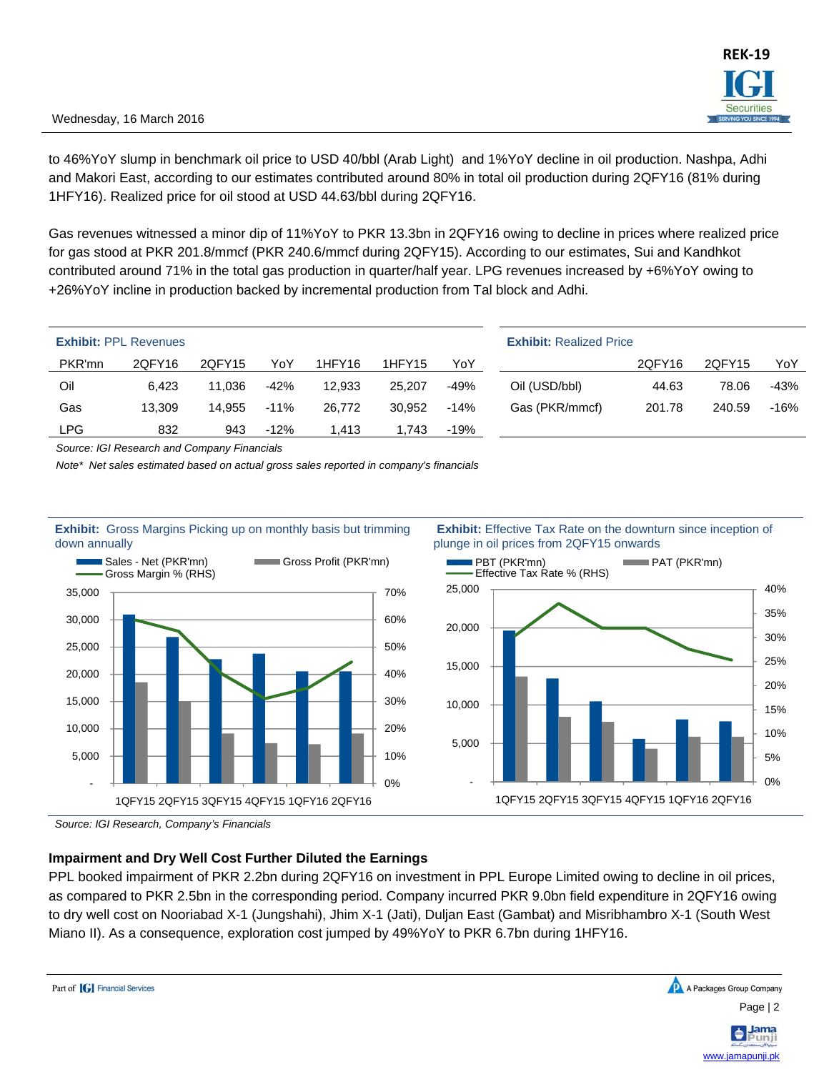### Wednesday, 16 March 2016

to 46%YoY slump in benchmark oil price to USD 40/bbl (Arab Light) and 1%YoY decline in oil production. Nashpa, Adhi and Makori East, according to our estimates contributed around 80% in total oil production during 2QFY16 (81% during 1HFY16). Realized price for oil stood at USD 44.63/bbl during 2QFY16.

Gas revenues witnessed a minor dip of 11%YoY to PKR 13.3bn in 2QFY16 owing to decline in prices where realized price for gas stood at PKR 201.8/mmcf (PKR 240.6/mmcf during 2QFY15). According to our estimates, Sui and Kandhkot contributed around 71% in the total gas production in quarter/half year. LPG revenues increased by +6%YoY owing to +26%YoY incline in production backed by incremental production from Tal block and Adhi.

|            | <b>Exhibit: PPL Revenues</b> |        |        |        |        |        | <b>Exhibit: Realized Price</b> |        |        |        |
|------------|------------------------------|--------|--------|--------|--------|--------|--------------------------------|--------|--------|--------|
| PKR'mn     | 2QFY16                       | 2QFY15 | YoY    | 1HFY16 | 1HFY15 | YoY    |                                | 2QFY16 | 2QFY15 | YoY    |
| Oil        | 6.423                        | 11.036 | $-42%$ | 12.933 | 25,207 | -49%   | Oil (USD/bbl)                  | 44.63  | 78.06  | -43%   |
| Gas        | 13.309                       | 14.955 | $-11%$ | 26,772 | 30.952 | $-14%$ | Gas (PKR/mmcf)                 | 201.78 | 240.59 | $-16%$ |
| <b>LPG</b> | 832                          | 943    | $-12%$ | 1.413  | 1,743  | -19%   |                                |        |        |        |

*Source: IGI Research and Company Financials* 

*Note\* Net sales estimated based on actual gross sales reported in company's financials* 



 **Exhibit:** Effective Tax Rate on the downturn since inception of plunge in oil prices from 2QFY15 onwards



*Source: IGI Research, Company's Financials* 

### **Impairment and Dry Well Cost Further Diluted the Earnings**

PPL booked impairment of PKR 2.2bn during 2QFY16 on investment in PPL Europe Limited owing to decline in oil prices, as compared to PKR 2.5bn in the corresponding period. Company incurred PKR 9.0bn field expenditure in 2QFY16 owing to dry well cost on Nooriabad X-1 (Jungshahi), Jhim X-1 (Jati), Duljan East (Gambat) and Misribhambro X-1 (South West Miano II). As a consequence, exploration cost jumped by 49%YoY to PKR 6.7bn during 1HFY16.

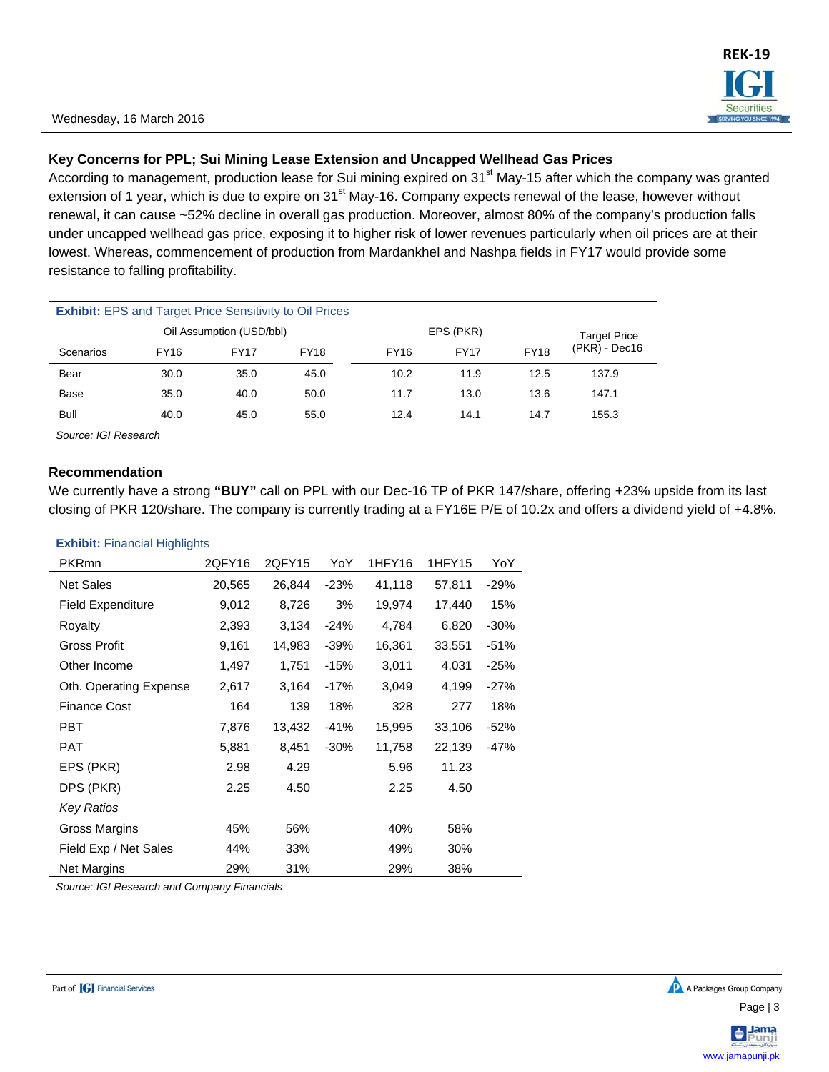### **Key Concerns for PPL; Sui Mining Lease Extension and Uncapped Wellhead Gas Prices**

According to management, production lease for Sui mining expired on 31<sup>st</sup> May-15 after which the company was granted extension of 1 year, which is due to expire on 31<sup>st</sup> May-16. Company expects renewal of the lease, however without renewal, it can cause ~52% decline in overall gas production. Moreover, almost 80% of the company's production falls under uncapped wellhead gas price, exposing it to higher risk of lower revenues particularly when oil prices are at their lowest. Whereas, commencement of production from Mardankhel and Nashpa fields in FY17 would provide some resistance to falling profitability.

| <b>Exhibit:</b> EPS and Target Price Sensitivity to Oil Prices |      |                          |             |             |             |             |               |
|----------------------------------------------------------------|------|--------------------------|-------------|-------------|-------------|-------------|---------------|
|                                                                |      | Oil Assumption (USD/bbl) |             |             | EPS (PKR)   |             | Target Price  |
| Scenarios                                                      | FY16 | <b>FY17</b>              | <b>FY18</b> | <b>FY16</b> | <b>FY17</b> | <b>FY18</b> | (PKR) - Dec16 |
| Bear                                                           | 30.0 | 35.0                     | 45.0        | 10.2        | 11.9        | 12.5        | 137.9         |
| Base                                                           | 35.0 | 40.0                     | 50.0        | 11.7        | 13.0        | 13.6        | 147.1         |
| Bull                                                           | 40.0 | 45.0                     | 55.0        | 12.4        | 14.1        | 14.7        | 155.3         |

*Source: IGI Research* 

### **Recommendation**

We currently have a strong **"BUY"** call on PPL with our Dec-16 TP of PKR 147/share, offering +23% upside from its last closing of PKR 120/share. The company is currently trading at a FY16E P/E of 10.2x and offers a dividend yield of +4.8%.

| <b>Exhibit:</b> Financial Highlights |        |        |        |        |        |        |  |  |
|--------------------------------------|--------|--------|--------|--------|--------|--------|--|--|
| <b>PKRmn</b>                         | 2QFY16 | 2QFY15 | YoY    | 1HFY16 | 1HFY15 | YoY    |  |  |
| <b>Net Sales</b>                     | 20,565 | 26,844 | $-23%$ | 41,118 | 57,811 | $-29%$ |  |  |
| <b>Field Expenditure</b>             | 9,012  | 8,726  | 3%     | 19,974 | 17,440 | 15%    |  |  |
| Royalty                              | 2,393  | 3,134  | $-24%$ | 4,784  | 6,820  | $-30%$ |  |  |
| <b>Gross Profit</b>                  | 9,161  | 14,983 | $-39%$ | 16,361 | 33,551 | $-51%$ |  |  |
| Other Income                         | 1,497  | 1,751  | $-15%$ | 3,011  | 4,031  | $-25%$ |  |  |
| Oth. Operating Expense               | 2,617  | 3,164  | $-17%$ | 3,049  | 4,199  | $-27%$ |  |  |
| <b>Finance Cost</b>                  | 164    | 139    | 18%    | 328    | 277    | 18%    |  |  |
| <b>PBT</b>                           | 7,876  | 13,432 | $-41%$ | 15,995 | 33,106 | $-52%$ |  |  |
| <b>PAT</b>                           | 5,881  | 8,451  | $-30%$ | 11,758 | 22,139 | $-47%$ |  |  |
| EPS (PKR)                            | 2.98   | 4.29   |        | 5.96   | 11.23  |        |  |  |
| DPS (PKR)                            | 2.25   | 4.50   |        | 2.25   | 4.50   |        |  |  |
| Key Ratios                           |        |        |        |        |        |        |  |  |
| Gross Margins                        | 45%    | 56%    |        | 40%    | 58%    |        |  |  |
| Field Exp / Net Sales                | 44%    | 33%    |        | 49%    | 30%    |        |  |  |
| Net Margins                          | 29%    | 31%    |        | 29%    | 38%    |        |  |  |

*Source: IGI Research and Company Financials*

www.jamapunji.pk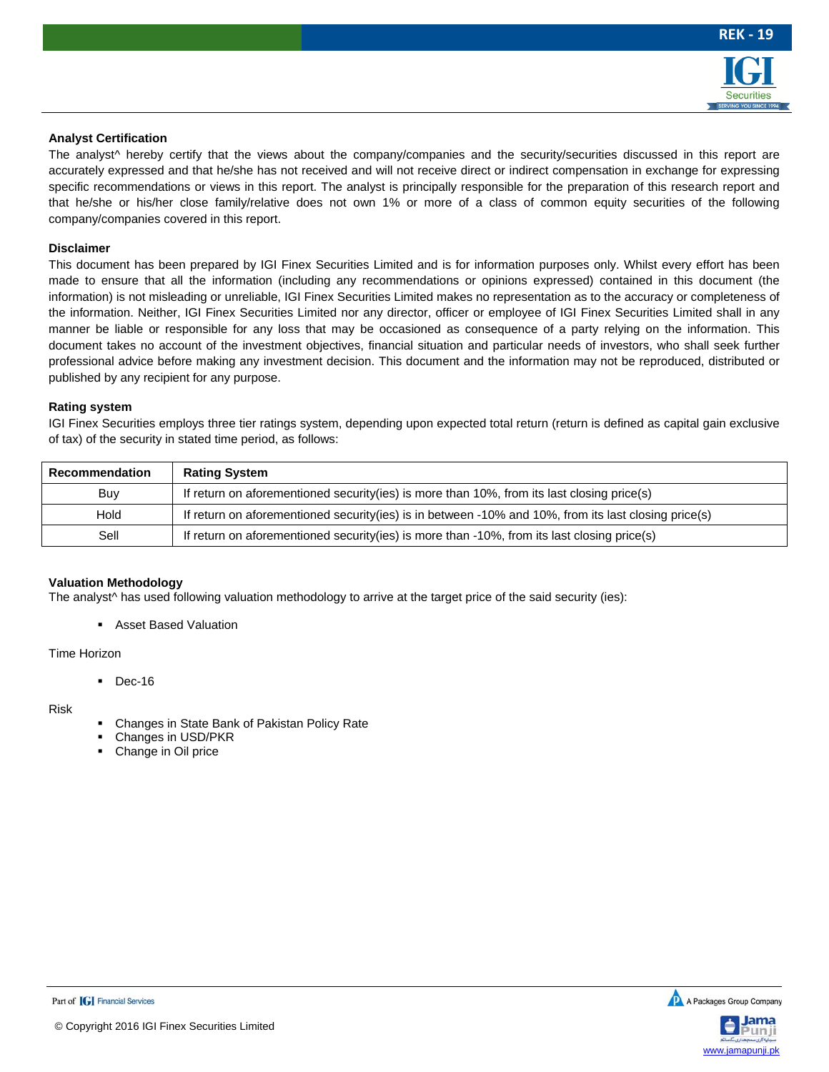

#### **Analyst Certification**

The analyst<sup> $\wedge$ </sup> hereby certify that the views about the company/companies and the security/securities discussed in this report are accurately expressed and that he/she has not received and will not receive direct or indirect compensation in exchange for expressing specific recommendations or views in this report. The analyst is principally responsible for the preparation of this research report and that he/she or his/her close family/relative does not own 1% or more of a class of common equity securities of the following company/companies covered in this report.

#### **Disclaimer**

This document has been prepared by IGI Finex Securities Limited and is for information purposes only. Whilst every effort has been made to ensure that all the information (including any recommendations or opinions expressed) contained in this document (the information) is not misleading or unreliable, IGI Finex Securities Limited makes no representation as to the accuracy or completeness of the information. Neither, IGI Finex Securities Limited nor any director, officer or employee of IGI Finex Securities Limited shall in any manner be liable or responsible for any loss that may be occasioned as consequence of a party relying on the information. This document takes no account of the investment objectives, financial situation and particular needs of investors, who shall seek further professional advice before making any investment decision. This document and the information may not be reproduced, distributed or published by any recipient for any purpose.

#### **Rating system**

IGI Finex Securities employs three tier ratings system, depending upon expected total return (return is defined as capital gain exclusive of tax) of the security in stated time period, as follows:

| <b>Recommendation</b> | <b>Rating System</b>                                                                                 |
|-----------------------|------------------------------------------------------------------------------------------------------|
| Buy                   | If return on aforementioned security (ies) is more than 10%, from its last closing price(s)          |
| Hold                  | If return on aforementioned security(ies) is in between -10% and 10%, from its last closing price(s) |
| Sell                  | If return on aforementioned security(ies) is more than -10%, from its last closing price(s)          |

#### **Valuation Methodology**

The analyst<sup>\*</sup> has used following valuation methodology to arrive at the target price of the said security (ies):

**Asset Based Valuation** 

#### Time Horizon

 $\blacksquare$  Dec-16

#### Risk

- Changes in State Bank of Pakistan Policy Rate
- Changes in USD/PKR
- Change in Oil price



Part of **[G]** Financial Services